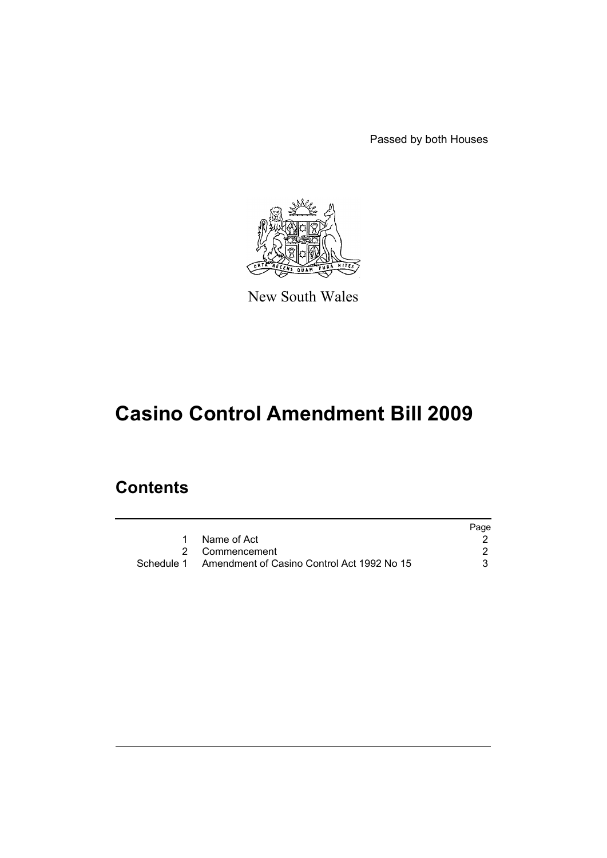Passed by both Houses



New South Wales

# **Casino Control Amendment Bill 2009**

## **Contents**

|                                                       | Page |
|-------------------------------------------------------|------|
| Name of Act                                           |      |
| 2 Commencement                                        |      |
| Schedule 1 Amendment of Casino Control Act 1992 No 15 |      |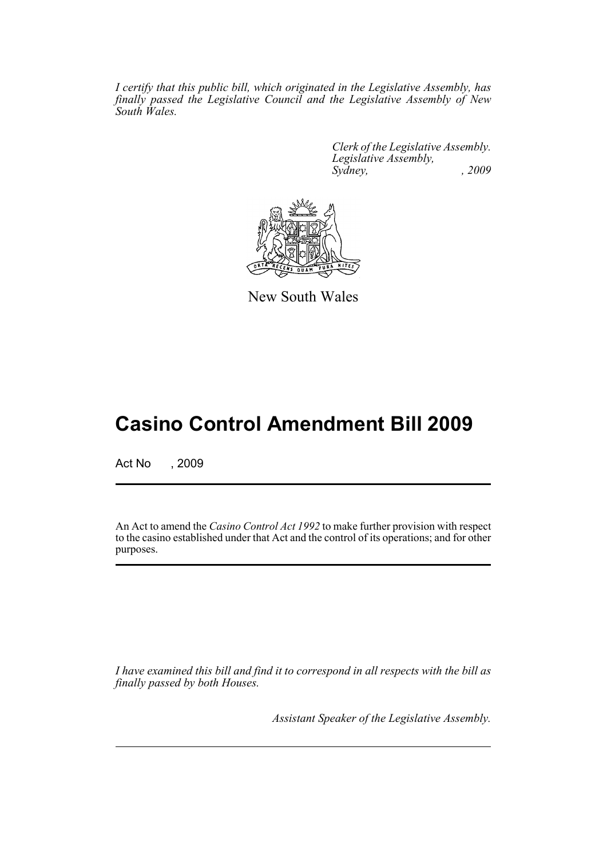*I certify that this public bill, which originated in the Legislative Assembly, has finally passed the Legislative Council and the Legislative Assembly of New South Wales.*

> *Clerk of the Legislative Assembly. Legislative Assembly, Sydney, , 2009*



New South Wales

## **Casino Control Amendment Bill 2009**

Act No , 2009

An Act to amend the *Casino Control Act 1992* to make further provision with respect to the casino established under that Act and the control of its operations; and for other purposes.

*I have examined this bill and find it to correspond in all respects with the bill as finally passed by both Houses.*

*Assistant Speaker of the Legislative Assembly.*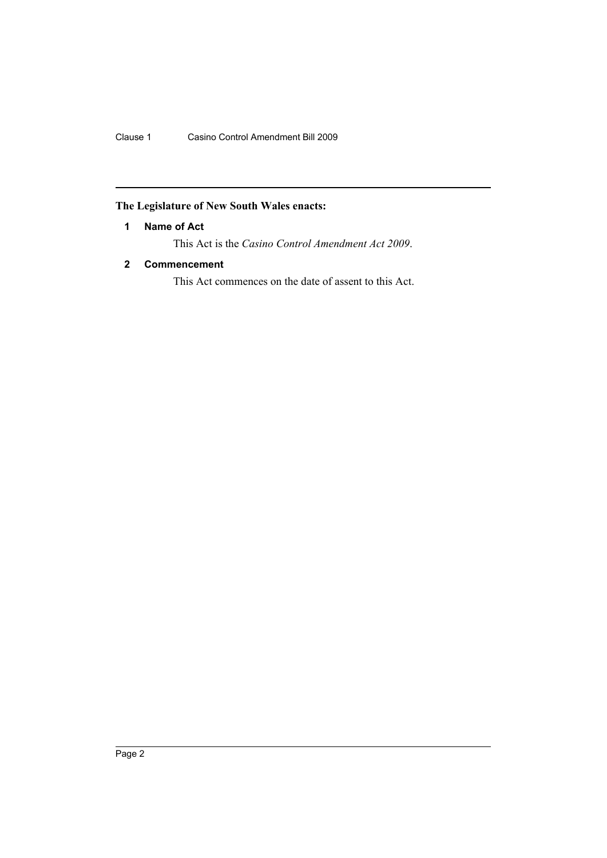### <span id="page-2-0"></span>**The Legislature of New South Wales enacts:**

#### **1 Name of Act**

This Act is the *Casino Control Amendment Act 2009*.

### <span id="page-2-1"></span>**2 Commencement**

This Act commences on the date of assent to this Act.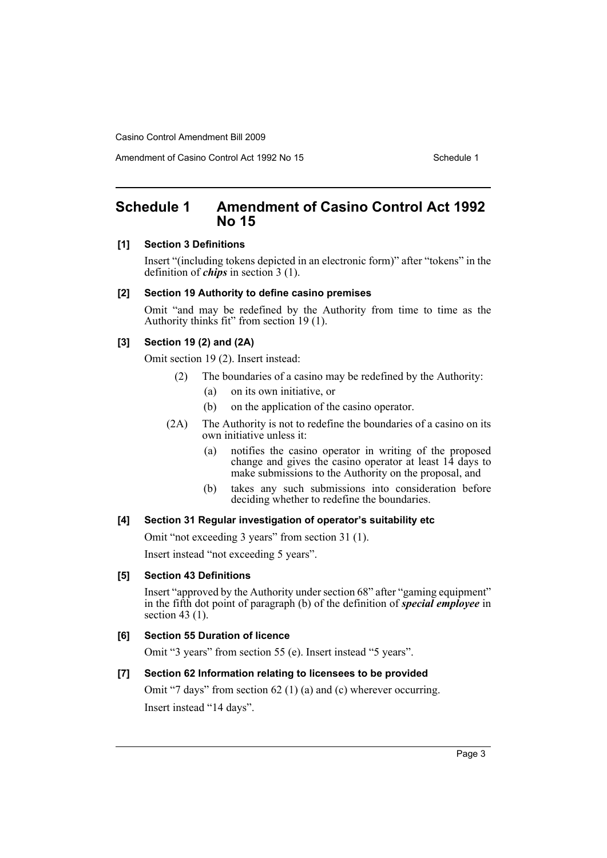Amendment of Casino Control Act 1992 No 15 Schedule 1

## <span id="page-3-0"></span>**Schedule 1 Amendment of Casino Control Act 1992 No 15**

#### **[1] Section 3 Definitions**

Insert "(including tokens depicted in an electronic form)" after "tokens" in the definition of *chips* in section 3 (1).

#### **[2] Section 19 Authority to define casino premises**

Omit "and may be redefined by the Authority from time to time as the Authority thinks fit" from section 19 (1).

#### **[3] Section 19 (2) and (2A)**

Omit section 19 (2). Insert instead:

- (2) The boundaries of a casino may be redefined by the Authority:
	- (a) on its own initiative, or
	- (b) on the application of the casino operator.
- (2A) The Authority is not to redefine the boundaries of a casino on its own initiative unless it:
	- (a) notifies the casino operator in writing of the proposed change and gives the casino operator at least 14 days to make submissions to the Authority on the proposal, and
	- (b) takes any such submissions into consideration before deciding whether to redefine the boundaries.

#### **[4] Section 31 Regular investigation of operator's suitability etc**

Omit "not exceeding 3 years" from section 31 (1).

Insert instead "not exceeding 5 years".

#### **[5] Section 43 Definitions**

Insert "approved by the Authority under section 68" after "gaming equipment" in the fifth dot point of paragraph (b) of the definition of *special employee* in section 43 (1).

#### **[6] Section 55 Duration of licence**

Omit "3 years" from section 55 (e). Insert instead "5 years".

#### **[7] Section 62 Information relating to licensees to be provided**

Omit "7 days" from section 62 (1) (a) and (c) wherever occurring.

Insert instead "14 days".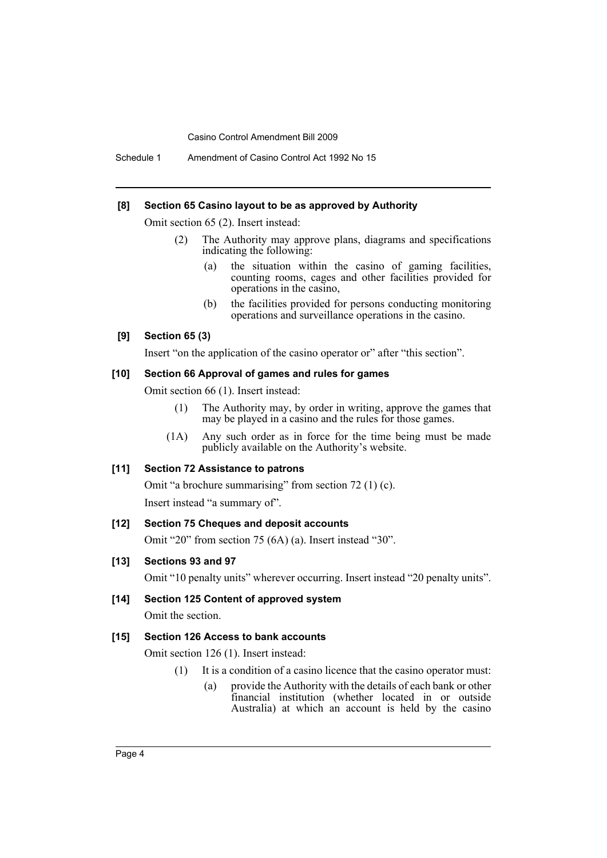Schedule 1 Amendment of Casino Control Act 1992 No 15

#### **[8] Section 65 Casino layout to be as approved by Authority**

Omit section 65 (2). Insert instead:

- (2) The Authority may approve plans, diagrams and specifications indicating the following:
	- (a) the situation within the casino of gaming facilities, counting rooms, cages and other facilities provided for operations in the casino,
	- (b) the facilities provided for persons conducting monitoring operations and surveillance operations in the casino.

#### **[9] Section 65 (3)**

Insert "on the application of the casino operator or" after "this section".

#### **[10] Section 66 Approval of games and rules for games**

Omit section 66 (1). Insert instead:

- (1) The Authority may, by order in writing, approve the games that may be played in a casino and the rules for those games.
- (1A) Any such order as in force for the time being must be made publicly available on the Authority's website.

#### **[11] Section 72 Assistance to patrons**

Omit "a brochure summarising" from section 72 (1) (c).

Insert instead "a summary of".

#### **[12] Section 75 Cheques and deposit accounts**

Omit "20" from section 75 (6A) (a). Insert instead "30".

#### **[13] Sections 93 and 97**

Omit "10 penalty units" wherever occurring. Insert instead "20 penalty units".

#### **[14] Section 125 Content of approved system**

Omit the section.

#### **[15] Section 126 Access to bank accounts**

Omit section 126 (1). Insert instead:

- (1) It is a condition of a casino licence that the casino operator must:
	- (a) provide the Authority with the details of each bank or other financial institution (whether located in or outside Australia) at which an account is held by the casino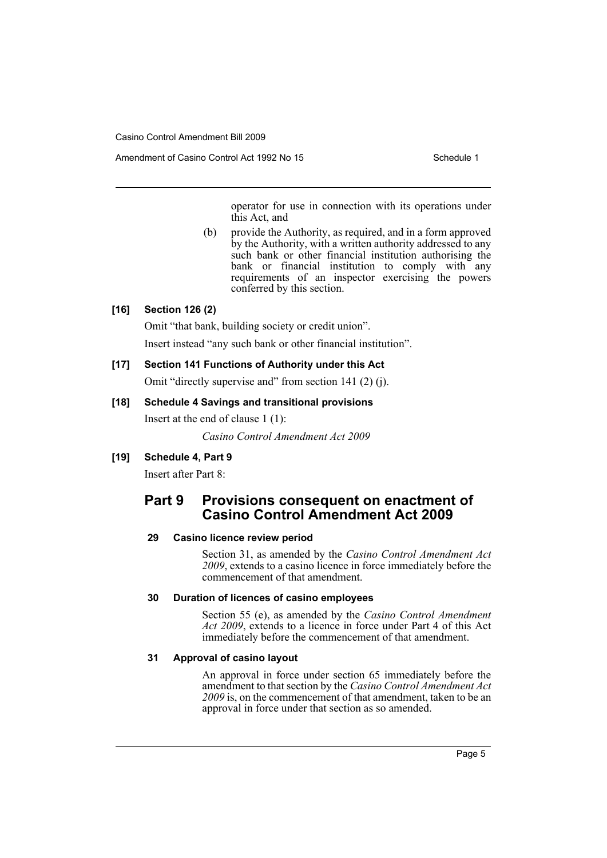Amendment of Casino Control Act 1992 No 15 Schedule 1

operator for use in connection with its operations under this Act, and

(b) provide the Authority, as required, and in a form approved by the Authority, with a written authority addressed to any such bank or other financial institution authorising the bank or financial institution to comply with any requirements of an inspector exercising the powers conferred by this section.

#### **[16] Section 126 (2)**

Omit "that bank, building society or credit union".

Insert instead "any such bank or other financial institution".

#### **[17] Section 141 Functions of Authority under this Act**

Omit "directly supervise and" from section 141 (2) (j).

#### **[18] Schedule 4 Savings and transitional provisions**

Insert at the end of clause 1 (1):

*Casino Control Amendment Act 2009*

#### **[19] Schedule 4, Part 9**

Insert after Part 8:

## **Part 9 Provisions consequent on enactment of Casino Control Amendment Act 2009**

#### **29 Casino licence review period**

Section 31, as amended by the *Casino Control Amendment Act 2009*, extends to a casino licence in force immediately before the commencement of that amendment.

#### **30 Duration of licences of casino employees**

Section 55 (e), as amended by the *Casino Control Amendment Act 2009*, extends to a licence in force under Part 4 of this Act immediately before the commencement of that amendment.

#### **31 Approval of casino layout**

An approval in force under section 65 immediately before the amendment to that section by the *Casino Control Amendment Act 2009* is, on the commencement of that amendment, taken to be an approval in force under that section as so amended.